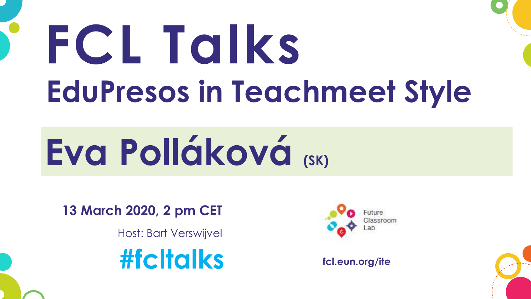## **FCL Talks EduPresos in Teachmeet Style**

## **Eva Polláková (SK)**

**13 March 2020, 2 pm CET**

Host: Bart Verswijvel





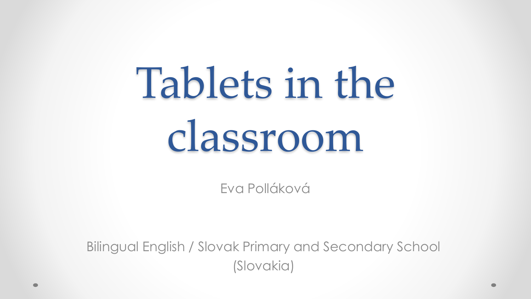## Tablets in the classroom

Eva Polláková

Bilingual English / Slovak Primary and Secondary School (Slovakia)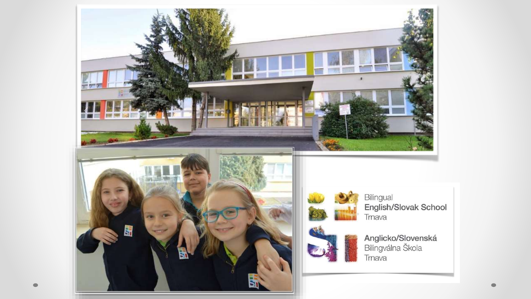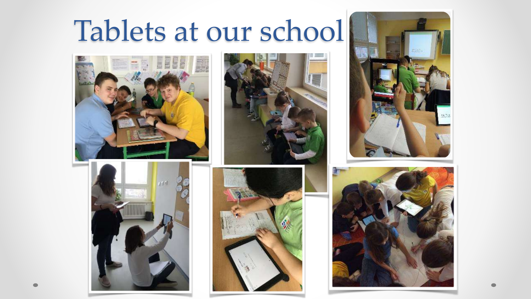#### Tablets at our school











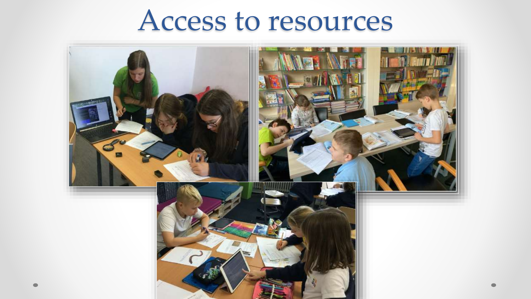#### Access to resources

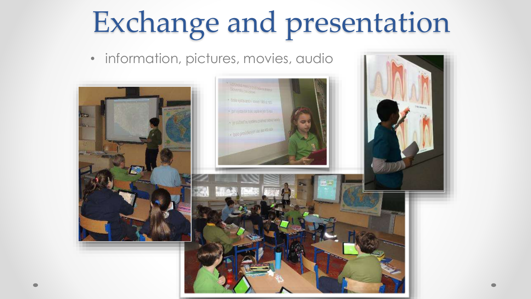### Exchange and presentation

• information, pictures, movies, audio

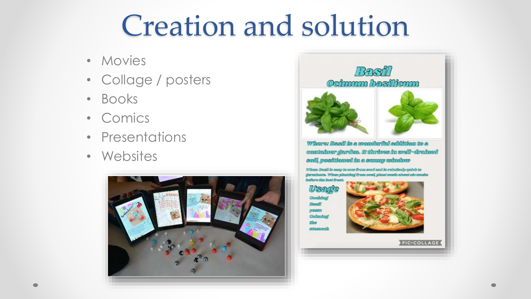#### Creation and solution

- Movies
- Collage / posters
- Books
- Comics
- Presentations
- Websites





Where: Besil is a mondarible addition to a container garden. It thrives in well-drained sail, posttianod in a sanary mindrov

when the disclassion of han been about the poor of the of the of the m formalmeets. When pleasting freeze avest, pleast nossle at

USACT Committed **Reussil** paste Calimina **DESP** stransel



**PIC-COLLAGE**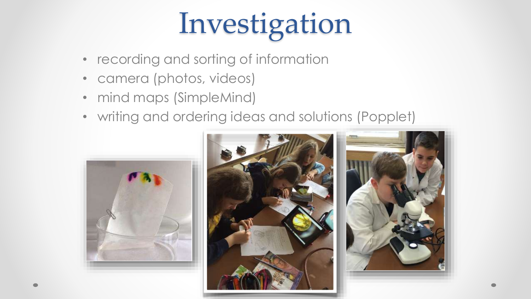## Investigation

- recording and sorting of information
- camera (photos, videos)
- mind maps (SimpleMind)
- writing and ordering ideas and solutions (Popplet)



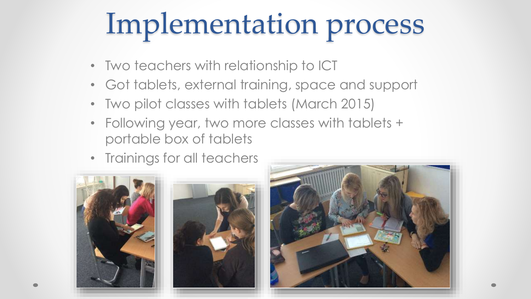## Implementation process

- Two teachers with relationship to ICT
- Got tablets, external training, space and support
- Two pilot classes with tablets (March 2015)
- Following year, two more classes with tablets + portable box of tablets
- Trainings for all teachers





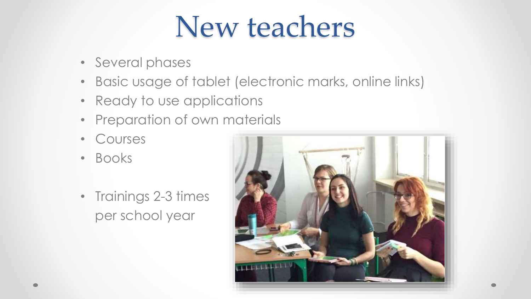#### New teachers

- Several phases
- Basic usage of tablet (electronic marks, online links)
- Ready to use applications
- Preparation of own materials
- Courses
- Books
- Trainings 2-3 times per school year

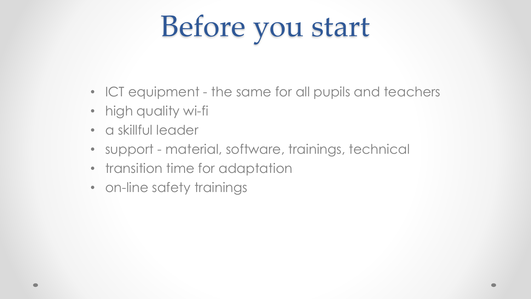## Before you start

- ICT equipment the same for all pupils and teachers
- high quality wi-fi
- a skillful leader
- support material, software, trainings, technical
- transition time for adaptation
- on-line safety trainings